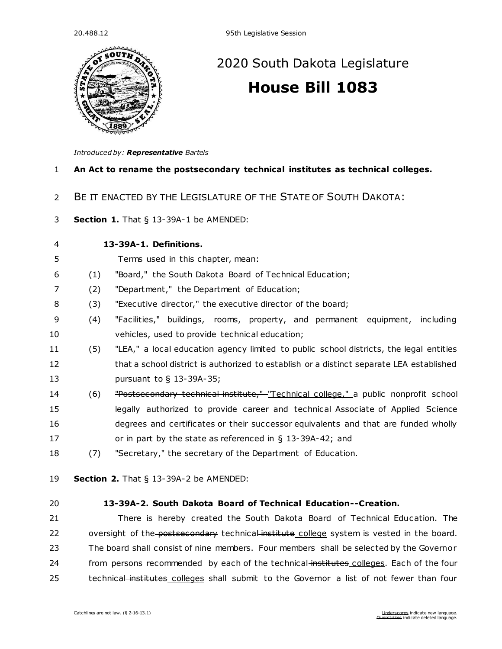

# [2020 South Dakota Legislature](https://sdlegislature.gov/Legislative_Session/Bills/Default.aspx?Session=2020) **[House Bill 1083](https://sdlegislature.gov/Legislative_Session/Bills/Bill.aspx?Bill=1083&Session=2020)**

*Introduced by: Representative [Bartels](https://sdlegislature.gov/Legislators/Legislators/MemberDetail.aspx?Session=2020&Member=1700&Cleaned=True)*

### **An Act to rename the postsecondary technical institutes as technical colleges.**

- BE IT ENACTED BY THE LEGISLATURE OF THE STATE OF SOUTH DAKOTA:
- **Section 1.** [That § 13-39A-1 be AMENDED:](https://sdlegislature.gov/Statutes/Codified_Laws/DisplayStatute.aspx?Type=Statute&Statute=13-39A-1)

**[13-39A-1. D](https://sdlegislature.gov/Statutes/Codified_Laws/DisplayStatute.aspx?Type=Statute&Statute=13-39A-1)efinitions.** 

- Terms used in this chapter, mean:
- (1) "Board," the South Dakota Board of Technical Education;
- (2) "Department," the Department of Education;
- (3) "Executive director," the executive director of the board;
- (4) "Facilities," buildings, rooms, property, and permanent equipment, including vehicles, used to provide technical education;
- (5) "LEA," a local education agency limited to public school districts, the legal entities 12 that a school district is authorized to establish or a distinct separate LEA established pursuant to § [13-39A-35;](https://sdlegislature.gov/Statutes/Codified_Laws/DisplayStatute.aspx?Type=Statute&Statute=13-39A-35)
- 14 (6) <del>"Postsecondary technical institute," "Technical college,"</del> a public nonprofit school legally authorized to provide career and technical Associate of Applied Science degrees and certificates or their successor equivalents and that are funded wholly or in part by the state as referenced in § [13-39A-42;](https://sdlegislature.gov/Statutes/Codified_Laws/DisplayStatute.aspx?Type=Statute&Statute=13-39A-42) and
- (7) "Secretary," the secretary of the Department of Education.
- **Section 2.** [That § 13-39A-2 be AMENDED:](https://sdlegislature.gov/Statutes/Codified_Laws/DisplayStatute.aspx?Type=Statute&Statute=13-39A-2)
- 

### **[13-39A-2. S](https://sdlegislature.gov/Statutes/Codified_Laws/DisplayStatute.aspx?Type=Statute&Statute=13-39A-2)outh Dakota Board of Technical Education--Creation.**

 There is hereby created the South Dakota Board of Technical Education. The 22 oversight of the postsecondary technical institute college system is vested in the board. The board shall consist of nine members. Four members shall be selected by the Governor 24 from persons recommended by each of the technical-institutes colleges. Each of the four 25 technical institutes colleges shall submit to the Governor a list of not fewer than four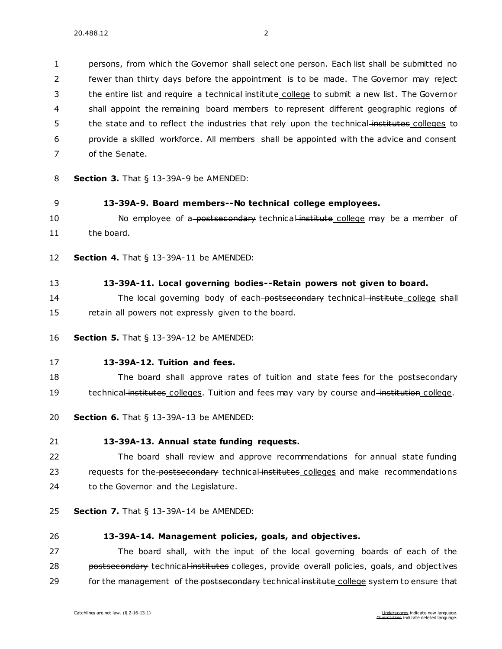persons, from which the Governor shall select one person. Each list shall be submitted no fewer than thirty days before the appointment is to be made. The Governor may reject 3 the entire list and require a technical-institute college to submit a new list. The Governor shall appoint the remaining board members to represent different geographic regions of 5 the state and to reflect the industries that rely upon the technical-institutes colleges to provide a skilled workforce. All members shall be appointed with the advice and consent of the Senate.

- 8 **Section 3.** [That § 13-39A-9 be AMENDED:](https://sdlegislature.gov/Statutes/Codified_Laws/DisplayStatute.aspx?Type=Statute&Statute=13-39A-9)
- 9 **[13-39A-9. B](https://sdlegislature.gov/Statutes/Codified_Laws/DisplayStatute.aspx?Type=Statute&Statute=13-39A-9)oard members--No technical college employees.**
- 10 No employee of a postsecondary technical institute college may be a member of 11 the board.
- 12 **Section 4.** [That § 13-39A-11 be AMENDED:](https://sdlegislature.gov/Statutes/Codified_Laws/DisplayStatute.aspx?Type=Statute&Statute=13-39A-11)
- 13 **[13-39A-11. L](https://sdlegislature.gov/Statutes/Codified_Laws/DisplayStatute.aspx?Type=Statute&Statute=13-39A-11)ocal governing bodies--Retain powers not given to board.**
- 14 The local governing body of each-postsecondary technical institute college shall 15 retain all powers not expressly given to the board.
- 16 **Section 5.** [That § 13-39A-12 be AMENDED:](https://sdlegislature.gov/Statutes/Codified_Laws/DisplayStatute.aspx?Type=Statute&Statute=13-39A-12)
- 17 **[13-39A-12. T](https://sdlegislature.gov/Statutes/Codified_Laws/DisplayStatute.aspx?Type=Statute&Statute=13-39A-12)uition and fees.**

18 The board shall approve rates of tuition and state fees for the postsecondary 19 technical institutes colleges. Tuition and fees may vary by course and institution college.

- 20 **Section 6.** [That § 13-39A-13 be AMENDED:](https://sdlegislature.gov/Statutes/Codified_Laws/DisplayStatute.aspx?Type=Statute&Statute=13-39A-13)
- 21 **[13-39A-13. A](https://sdlegislature.gov/Statutes/Codified_Laws/DisplayStatute.aspx?Type=Statute&Statute=13-39A-13)nnual state funding requests.**
- 22 The board shall review and approve recommendations for annual state funding 23 requests for the postsecondary technical institutes colleges and make recommendations 24 to the Governor and the Legislature.
- 25 **Section 7.** [That § 13-39A-14 be AMENDED:](https://sdlegislature.gov/Statutes/Codified_Laws/DisplayStatute.aspx?Type=Statute&Statute=13-39A-14)
- 

#### 26 **[13-39A-14. M](https://sdlegislature.gov/Statutes/Codified_Laws/DisplayStatute.aspx?Type=Statute&Statute=13-39A-14)anagement policies, goals, and objectives.**

27 The board shall, with the input of the local governing boards of each of the 28 postsecondary technical institutes colleges, provide overall policies, goals, and objectives 29 for the management of the postsecondary technical institute college system to ensure that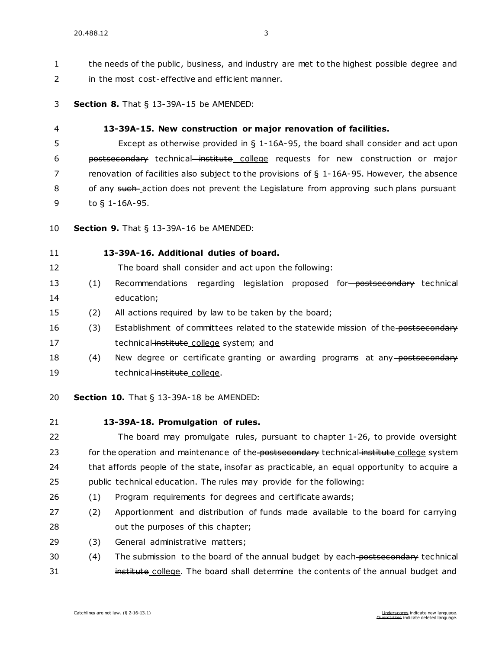1 the needs of the public, business, and industry are met to the highest possible degree and in the most cost-effective and efficient manner.

**Section 8.** [That § 13-39A-15 be AMENDED:](https://sdlegislature.gov/Statutes/Codified_Laws/DisplayStatute.aspx?Type=Statute&Statute=13-39A-15)

#### **[13-39A-15. N](https://sdlegislature.gov/Statutes/Codified_Laws/DisplayStatute.aspx?Type=Statute&Statute=13-39A-15)ew construction or major renovation of facilities.**

 Except as otherwise provided in § [1-16A-95,](https://sdlegislature.gov/Statutes/Codified_Laws/DisplayStatute.aspx?Type=Statute&Statute=1-16A-95) the board shall consider and act upon postsecondary technical institute college requests for new construction or major renovation of facilities also subject to the provisions of § [1-16A-95.](https://sdlegislature.gov/Statutes/Codified_Laws/DisplayStatute.aspx?Type=Statute&Statute=1-16A-95) However, the absence 8 of any such action does not prevent the Legislature from approving such plans pursuant to § [1-16A-95.](https://sdlegislature.gov/Statutes/Codified_Laws/DisplayStatute.aspx?Type=Statute&Statute=1-16A-95)

**Section 9.** [That § 13-39A-16 be AMENDED:](https://sdlegislature.gov/Statutes/Codified_Laws/DisplayStatute.aspx?Type=Statute&Statute=13-39A-16)

### **[13-39A-16. A](https://sdlegislature.gov/Statutes/Codified_Laws/DisplayStatute.aspx?Type=Statute&Statute=13-39A-16)dditional duties of board.**

The board shall consider and act upon the following:

- 13 (1) Recommendations regarding legislation proposed for postsecondary technical education;
- (2) All actions required by law to be taken by the board;
- 16 (3) Establishment of committees related to the statewide mission of the postsecondary 17 technical institute college system; and
- 18 (4) New degree or certificate granting or awarding programs at any postsecondary 19 technical institute college.
- **Section 10.** [That § 13-39A-18 be AMENDED:](https://sdlegislature.gov/Statutes/Codified_Laws/DisplayStatute.aspx?Type=Statute&Statute=13-39A-18)
- 

#### **[13-39A-18. P](https://sdlegislature.gov/Statutes/Codified_Laws/DisplayStatute.aspx?Type=Statute&Statute=13-39A-18)romulgation of rules.**

 The board may promulgate rules, pursuant to chapter [1-26,](https://sdlegislature.gov/Statutes/Codified_Laws/DisplayStatute.aspx?Type=Statute&Statute=1-26) to provide oversight 23 for the operation and maintenance of the postsecondary technical institute college system that affords people of the state, insofar as practicable, an equal opportunity to acquire a public technical education. The rules may provide for the following:

- (1) Program requirements for degrees and certificate awards;
- (2) Apportionment and distribution of funds made available to the board for carrying 28 out the purposes of this chapter;
- (3) General administrative matters;
- 30 (4) The submission to the board of the annual budget by each postsecondary technical **institute college**. The board shall determine the contents of the annual budget and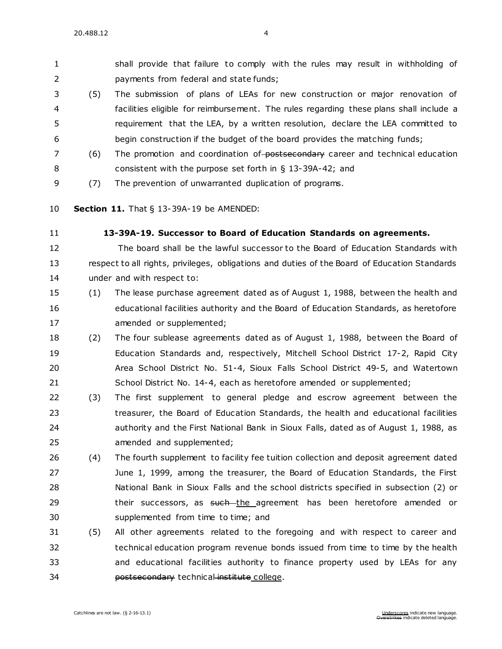shall provide that failure to comply with the rules may result in withholding of payments from federal and state funds;

- (5) The submission of plans of LEAs for new construction or major renovation of facilities eligible for reimbursement. The rules regarding these plans shall include a requirement that the LEA, by a written resolution, declare the LEA committed to begin construction if the budget of the board provides the matching funds;
- 7 (6) The promotion and coordination of-postsecondary career and technical education consistent with the purpose set forth in § [13-39A-42;](https://sdlegislature.gov/Statutes/Codified_Laws/DisplayStatute.aspx?Type=Statute&Statute=13-39A-42) and
- (7) The prevention of unwarranted duplication of programs.
- **Section 11.** [That § 13-39A-19 be AMENDED:](https://sdlegislature.gov/Statutes/Codified_Laws/DisplayStatute.aspx?Type=Statute&Statute=13-39A-19)
- 

### **[13-39A-19. S](https://sdlegislature.gov/Statutes/Codified_Laws/DisplayStatute.aspx?Type=Statute&Statute=13-39A-19)uccessor to Board of Education Standards on agreements.**

 The board shall be the lawful successor to the Board of Education Standards with respect to all rights, privileges, obligations and duties of the Board of Education Standards under and with respect to:

- (1) The lease purchase agreement dated as of August 1, 1988, between the health and educational facilities authority and the Board of Education Standards, as heretofore 17 amended or supplemented;
- (2) The four sublease agreements dated as of August 1, 1988, between the Board of Education Standards and, respectively, Mitchell School District [17-2,](https://sdlegislature.gov/Statutes/Codified_Laws/DisplayStatute.aspx?Type=Statute&Statute=17-2) Rapid City Area School District No. 51-4, Sioux Falls School District [49-5,](https://sdlegislature.gov/Statutes/Codified_Laws/DisplayStatute.aspx?Type=Statute&Statute=49-5) and Watertown School District No. [14-4,](https://sdlegislature.gov/Statutes/Codified_Laws/DisplayStatute.aspx?Type=Statute&Statute=14-4) each as heretofore amended or supplemented;
- (3) The first supplement to general pledge and escrow agreement between the treasurer, the Board of Education Standards, the health and educational facilities authority and the First National Bank in Sioux Falls, dated as of August 1, 1988, as amended and supplemented;
- (4) The fourth supplement to facility fee tuition collection and deposit agreement dated June 1, 1999, among the treasurer, the Board of Education Standards, the First National Bank in Sioux Falls and the school districts specified in subsection (2) or 29 their successors, as <del>such t</del>he agreement has been heretofore amended or supplemented from time to time; and
- (5) All other agreements related to the foregoing and with respect to career and technical education program revenue bonds issued from time to time by the health and educational facilities authority to finance property used by LEAs for any **postsecondary** technical institute college.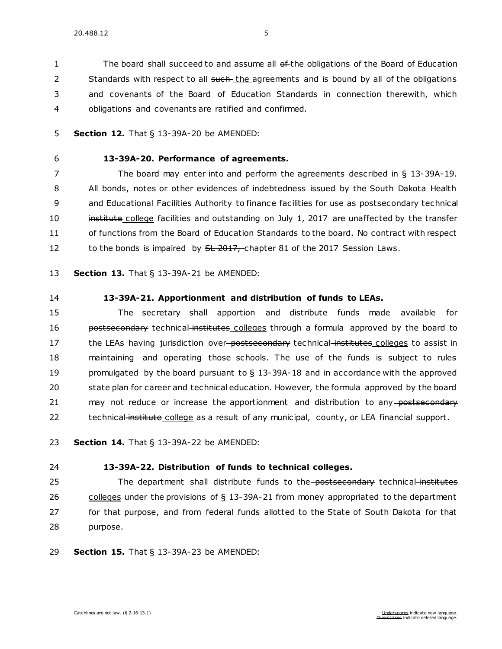1 The board shall succeed to and assume all of the obligations of the Board of Education 2 Standards with respect to all such the agreements and is bound by all of the obligations 3 and covenants of the Board of Education Standards in connection therewith, which 4 obligations and covenants are ratified and confirmed.

- 5 **Section 12.** [That § 13-39A-20 be AMENDED:](https://sdlegislature.gov/Statutes/Codified_Laws/DisplayStatute.aspx?Type=Statute&Statute=13-39A-20)
- 

### 6 **[13-39A-20. P](https://sdlegislature.gov/Statutes/Codified_Laws/DisplayStatute.aspx?Type=Statute&Statute=13-39A-20)erformance of agreements.**

7 The board may enter into and perform the agreements described in § [13-39A-19.](https://sdlegislature.gov/Statutes/Codified_Laws/DisplayStatute.aspx?Type=Statute&Statute=13-39A-19) 8 All bonds, notes or other evidences of indebtedness issued by the South Dakota Health 9 and Educational Facilities Authority to finance facilities for use as-postsecondary technical 10 institute college facilities and outstanding on July 1, 2017 are unaffected by the transfer 11 of functions from the Board of Education Standards to the board. No contract with respect 12 to the bonds is impaired by SL 2017, chapter 81 of the 2017 Session Laws.

13 **Section 13.** [That § 13-39A-21 be AMENDED:](https://sdlegislature.gov/Statutes/Codified_Laws/DisplayStatute.aspx?Type=Statute&Statute=13-39A-21)

14 **[13-39A-21. A](https://sdlegislature.gov/Statutes/Codified_Laws/DisplayStatute.aspx?Type=Statute&Statute=13-39A-21)pportionment and distribution of funds to LEAs.** 

15 The secretary shall apportion and distribute funds made available for 16 **bostsecondary** technical institutes colleges through a formula approved by the board to 17 the LEAs having jurisdiction over-postsecondary technical institutes colleges to assist in 18 maintaining and operating those schools. The use of the funds is subject to rules 19 promulgated by the board pursuant to  $\S$  [13-39A-18](https://sdlegislature.gov/Statutes/Codified_Laws/DisplayStatute.aspx?Type=Statute&Statute=13-39A-18) and in accordance with the approved 20 state plan for career and technical education. However, the formula approved by the board 21 may not reduce or increase the apportionment and distribution to any postsecondary 22 technical institute college as a result of any municipal, county, or LEA financial support.

23 **Section 14.** [That § 13-39A-22 be AMENDED:](https://sdlegislature.gov/Statutes/Codified_Laws/DisplayStatute.aspx?Type=Statute&Statute=13-39A-22)

### 24 **[13-39A-22. D](https://sdlegislature.gov/Statutes/Codified_Laws/DisplayStatute.aspx?Type=Statute&Statute=13-39A-22)istribution of funds to technical colleges.**

25 The department shall distribute funds to the-postsecondary technical institutes 26 colleges under the provisions of § [13-39A-21](https://sdlegislature.gov/Statutes/Codified_Laws/DisplayStatute.aspx?Type=Statute&Statute=13-39A-21) from money appropriated to the department 27 for that purpose, and from federal funds allotted to the State of South Dakota for that 28 purpose.

29 **Section 15.** [That § 13-39A-23 be AMENDED:](https://sdlegislature.gov/Statutes/Codified_Laws/DisplayStatute.aspx?Type=Statute&Statute=13-39A-23)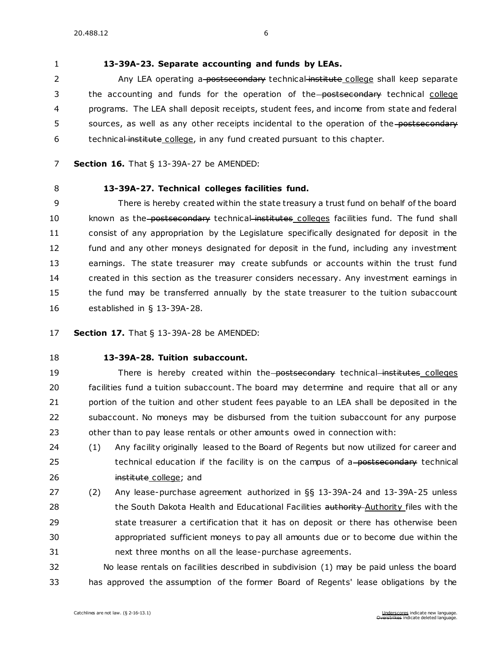### **[13-39A-23. S](https://sdlegislature.gov/Statutes/Codified_Laws/DisplayStatute.aspx?Type=Statute&Statute=13-39A-23)eparate accounting and funds by LEAs.**

2 Any LEA operating a-postsecondary technical institute college shall keep separate 3 the accounting and funds for the operation of the postsecondary technical college programs. The LEA shall deposit receipts, student fees, and income from state and federal 5 sources, as well as any other receipts incidental to the operation of the postsecondary 6 technical institute college, in any fund created pursuant to this chapter.

- **Section 16.** [That § 13-39A-27 be AMENDED:](https://sdlegislature.gov/Statutes/Codified_Laws/DisplayStatute.aspx?Type=Statute&Statute=13-39A-27)
- 

### **[13-39A-27. T](https://sdlegislature.gov/Statutes/Codified_Laws/DisplayStatute.aspx?Type=Statute&Statute=13-39A-27)echnical colleges facilities fund.**

 There is hereby created within the state treasury a trust fund on behalf of the board 10 known as the postsecondary technical institutes colleges facilities fund. The fund shall consist of any appropriation by the Legislature specifically designated for deposit in the fund and any other moneys designated for deposit in the fund, including any investment earnings. The state treasurer may create subfunds or accounts within the trust fund created in this section as the treasurer considers necessary. Any investment earnings in the fund may be transferred annually by the state treasurer to the tuition subaccount established in § [13-39A-28.](https://sdlegislature.gov/Statutes/Codified_Laws/DisplayStatute.aspx?Type=Statute&Statute=13-39A-28)

**Section 17.** [That § 13-39A-28 be AMENDED:](https://sdlegislature.gov/Statutes/Codified_Laws/DisplayStatute.aspx?Type=Statute&Statute=13-39A-28)

### **[13-39A-28. T](https://sdlegislature.gov/Statutes/Codified_Laws/DisplayStatute.aspx?Type=Statute&Statute=13-39A-28)uition subaccount.**

19 There is hereby created within the postsecondary technical institutes colleges facilities fund a tuition subaccount. The board may determine and require that all or any 21 portion of the tuition and other student fees payable to an LEA shall be deposited in the subaccount. No moneys may be disbursed from the tuition subaccount for any purpose 23 other than to pay lease rentals or other amounts owed in connection with:

 (1) Any facility originally leased to the Board of Regents but now utilized for career and 25 technical education if the facility is on the campus of a-postsecondary technical **institute college; and** 

 (2) Any lease-purchase agreement authorized in §§ [13-39A-24](https://sdlegislature.gov/Statutes/Codified_Laws/DisplayStatute.aspx?Type=Statute&Statute=13-39A-24) and [13-39A-25](https://sdlegislature.gov/Statutes/Codified_Laws/DisplayStatute.aspx?Type=Statute&Statute=13-39A-25) unless 28 the South Dakota Health and Educational Facilities authority Authority files with the state treasurer a certification that it has on deposit or there has otherwise been appropriated sufficient moneys to pay all amounts due or to become due within the next three months on all the lease-purchase agreements.

 No lease rentals on facilities described in subdivision (1) may be paid unless the board has approved the assumption of the former Board of Regents' lease obligations by the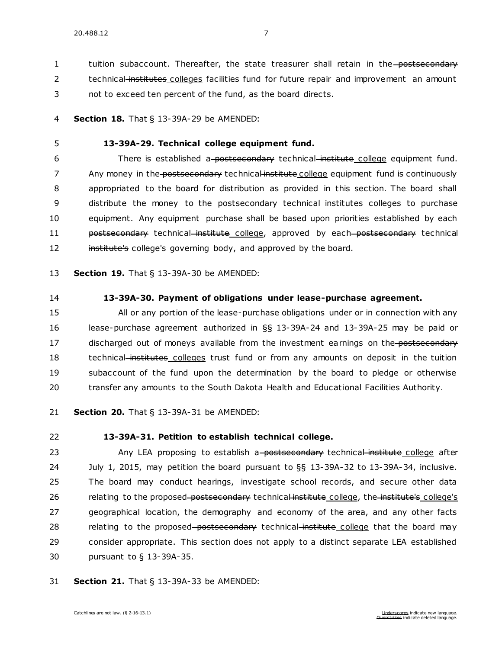1 tuition subaccount. Thereafter, the state treasurer shall retain in the postsecondary 2 technical institutes colleges facilities fund for future repair and improvement an amount

3 not to exceed ten percent of the fund, as the board directs.

4 **Section 18.** [That § 13-39A-29 be AMENDED:](https://sdlegislature.gov/Statutes/Codified_Laws/DisplayStatute.aspx?Type=Statute&Statute=13-39A-29)

#### 5 **[13-39A-29. T](https://sdlegislature.gov/Statutes/Codified_Laws/DisplayStatute.aspx?Type=Statute&Statute=13-39A-29)echnical college equipment fund.**

6 There is established a-postsecondary technical institute college equipment fund. 7 Any money in the postsecondary technical institute college equipment fund is continuously 8 appropriated to the board for distribution as provided in this section. The board shall 9 distribute the money to the postsecondary technical institutes colleges to purchase 10 equipment. Any equipment purchase shall be based upon priorities established by each 11 **postsecondary** technical institute college, approved by each postsecondary technical 12 institute's college's governing body, and approved by the board.

13 **Section 19.** [That § 13-39A-30 be AMENDED:](https://sdlegislature.gov/Statutes/Codified_Laws/DisplayStatute.aspx?Type=Statute&Statute=13-39A-30)

### 14 **[13-39A-30. P](https://sdlegislature.gov/Statutes/Codified_Laws/DisplayStatute.aspx?Type=Statute&Statute=13-39A-30)ayment of obligations under lease-purchase agreement.**

 All or any portion of the lease-purchase obligations under or in connection with any lease-purchase agreement authorized in §§ [13-39A-24](https://sdlegislature.gov/Statutes/Codified_Laws/DisplayStatute.aspx?Type=Statute&Statute=13-39A-24) and [13-39A-25](https://sdlegislature.gov/Statutes/Codified_Laws/DisplayStatute.aspx?Type=Statute&Statute=13-39A-25) may be paid or 17 discharged out of moneys available from the investment earnings on the postsecondary 18 technical institutes colleges trust fund or from any amounts on deposit in the tuition subaccount of the fund upon the determination by the board to pledge or otherwise transfer any amounts to the South Dakota Health and Educational Facilities Authority.

21 **Section 20.** [That § 13-39A-31 be AMENDED:](https://sdlegislature.gov/Statutes/Codified_Laws/DisplayStatute.aspx?Type=Statute&Statute=13-39A-31)

### 22 **[13-39A-31. P](https://sdlegislature.gov/Statutes/Codified_Laws/DisplayStatute.aspx?Type=Statute&Statute=13-39A-31)etition to establish technical college.**

23 Any LEA proposing to establish a postsecondary technical institute college after July 1, 2015, may petition the board pursuant to §§ [13-39A-32](https://sdlegislature.gov/Statutes/Codified_Laws/DisplayStatute.aspx?Type=Statute&Statute=13-39A-32) to [13-39A-34,](https://sdlegislature.gov/Statutes/Codified_Laws/DisplayStatute.aspx?Type=Statute&Statute=13-39A-34) inclusive. The board may conduct hearings, investigate school records, and secure other data 26 relating to the proposed-postsecondary technical institute college, the institute's college's geographical location, the demography and economy of the area, and any other facts 28 relating to the proposed-postsecondary technical-institute college that the board may consider appropriate. This section does not apply to a distinct separate LEA established pursuant to § [13-39A-35.](https://sdlegislature.gov/Statutes/Codified_Laws/DisplayStatute.aspx?Type=Statute&Statute=13-39A-35)

31 **Section 21.** [That § 13-39A-33 be AMENDED:](https://sdlegislature.gov/Statutes/Codified_Laws/DisplayStatute.aspx?Type=Statute&Statute=13-39A-33)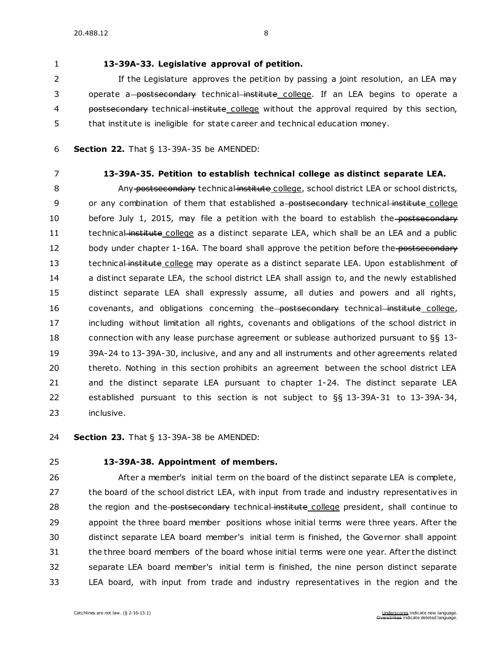### 1 **[13-39A-33. L](https://sdlegislature.gov/Statutes/Codified_Laws/DisplayStatute.aspx?Type=Statute&Statute=13-39A-33)egislative approval of petition.**

2 If the Legislature approves the petition by passing a joint resolution, an LEA may 3 operate a postsecondary technical institute college. If an LEA begins to operate a 4 postsecondary technical institute college without the approval required by this section, 5 that institute is ineligible for state career and technical education money.

- 6 **Section 22.** [That § 13-39A-35 be AMENDED:](https://sdlegislature.gov/Statutes/Codified_Laws/DisplayStatute.aspx?Type=Statute&Statute=13-39A-35)
- 

### 7 **[13-39A-35. P](https://sdlegislature.gov/Statutes/Codified_Laws/DisplayStatute.aspx?Type=Statute&Statute=13-39A-35)etition to establish technical college as distinct separate LEA.**

8 Any postsecondary technical institute college, school district LEA or school districts, 9 or any combination of them that established a-postsecondary technical institute college 10 before July 1, 2015, may file a petition with the board to establish the postsecondary 11 technical institute college as a distinct separate LEA, which shall be an LEA and a public 12 body under chapter [1-16A.](https://sdlegislature.gov/Statutes/Codified_Laws/DisplayStatute.aspx?Type=Statute&Statute=1-16A) The board shall approve the petition before the postsecondary 13 technical institute college may operate as a distinct separate LEA. Upon establishment of 14 a distinct separate LEA, the school district LEA shall assign to, and the newly established 15 distinct separate LEA shall expressly assume, all duties and powers and all rights, 16 covenants, and obligations concerning the postsecondary technical institute college, 17 including without limitation all rights, covenants and obligations of the school district in 18 connection with any lease purchase agreement or sublease authorized pursuant to §§ [13-](https://sdlegislature.gov/Statutes/Codified_Laws/DisplayStatute.aspx?Type=Statute&Statute=13-39A-24) 19 [39A-24](https://sdlegislature.gov/Statutes/Codified_Laws/DisplayStatute.aspx?Type=Statute&Statute=13-39A-24) t[o 13-39A-30,](https://sdlegislature.gov/Statutes/Codified_Laws/DisplayStatute.aspx?Type=Statute&Statute=13-39A-30) inclusive, and any and all instruments and other agreements related 20 thereto. Nothing in this section prohibits an agreement between the school district LEA 21 and the distinct separate LEA pursuant to chapter [1-24.](https://sdlegislature.gov/Statutes/Codified_Laws/DisplayStatute.aspx?Type=Statute&Statute=1-24) The distinct separate LEA 22 established pursuant to this section is not subject to §§ [13-39A-31](https://sdlegislature.gov/Statutes/Codified_Laws/DisplayStatute.aspx?Type=Statute&Statute=13-39A-31) to [13-39A-34,](https://sdlegislature.gov/Statutes/Codified_Laws/DisplayStatute.aspx?Type=Statute&Statute=13-39A-34) 23 inclusive.

24 **Section 23.** [That § 13-39A-38 be AMENDED:](https://sdlegislature.gov/Statutes/Codified_Laws/DisplayStatute.aspx?Type=Statute&Statute=13-39A-38)

### 25 **[13-39A-38. A](https://sdlegislature.gov/Statutes/Codified_Laws/DisplayStatute.aspx?Type=Statute&Statute=13-39A-38)ppointment of members.**

 After a member's initial term on the board of the distinct separate LEA is complete, 27 the board of the school district LEA, with input from trade and industry representatives in 28 the region and the postsecondary technical institute college president, shall continue to appoint the three board member positions whose initial terms were three years. After the distinct separate LEA board member's initial term is finished, the Governor shall appoint the three board members of the board whose initial terms were one year. After the distinct separate LEA board member's initial term is finished, the nine person distinct separate LEA board, with input from trade and industry representatives in the region and the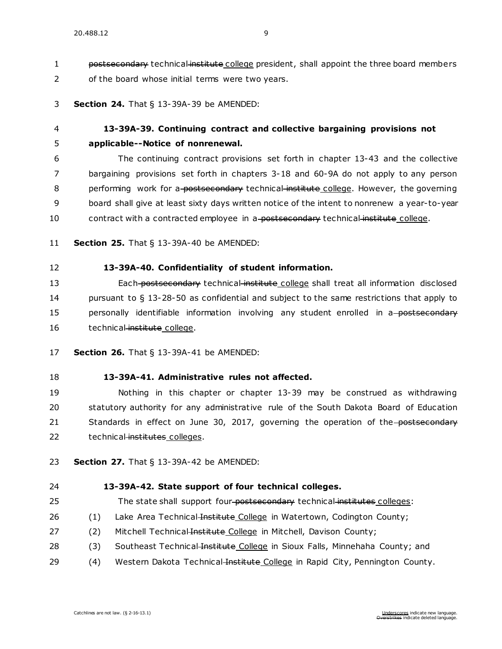1 postsecondary technical institute college president, shall appoint the three board members 2 of the board whose initial terms were two years.

#### 3 **Section 24.** [That § 13-39A-39 be AMENDED:](https://sdlegislature.gov/Statutes/Codified_Laws/DisplayStatute.aspx?Type=Statute&Statute=13-39A-39)

### 4 **[13-39A-39. C](https://sdlegislature.gov/Statutes/Codified_Laws/DisplayStatute.aspx?Type=Statute&Statute=13-39A-39)ontinuing contract and collective bargaining provisions not**  5 **applicable--Notice of nonrenewal.**

6 The continuing contract provisions set forth in chapter [13-43](https://sdlegislature.gov/Statutes/Codified_Laws/DisplayStatute.aspx?Type=Statute&Statute=13-43) and the collective 7 bargaining provisions set forth in chapters [3-18](https://sdlegislature.gov/Statutes/Codified_Laws/DisplayStatute.aspx?Type=Statute&Statute=3-18) and [60-9A](https://sdlegislature.gov/Statutes/Codified_Laws/DisplayStatute.aspx?Type=Statute&Statute=60-9A) do not apply to any person 8 performing work for a postsecondary technical institute college. However, the governing 9 board shall give at least sixty days written notice of the intent to nonrenew a year-to-year 10 contract with a contracted employee in a postsecondary technical institute college.

- 11 **Section 25.** [That § 13-39A-40 be AMENDED:](https://sdlegislature.gov/Statutes/Codified_Laws/DisplayStatute.aspx?Type=Statute&Statute=13-39A-40)
- 12 **[13-39A-40. C](https://sdlegislature.gov/Statutes/Codified_Laws/DisplayStatute.aspx?Type=Statute&Statute=13-39A-40)onfidentiality of student information.**

13 Each postsecondary technical institute college shall treat all information disclosed 14 pursuant to § [13-28-50](https://sdlegislature.gov/Statutes/Codified_Laws/DisplayStatute.aspx?Type=Statute&Statute=13-28-50) as confidential and subject to the same restrictions that apply to 15 personally identifiable information involving any student enrolled in a postsecondary 16 technical institute college.

- 17 **Section 26.** [That § 13-39A-41 be AMENDED:](https://sdlegislature.gov/Statutes/Codified_Laws/DisplayStatute.aspx?Type=Statute&Statute=13-39A-41)
- 18 **[13-39A-41. A](https://sdlegislature.gov/Statutes/Codified_Laws/DisplayStatute.aspx?Type=Statute&Statute=13-39A-41)dministrative rules not affected.**

19 Nothing in this chapter or chapter [13-39](https://sdlegislature.gov/Statutes/Codified_Laws/DisplayStatute.aspx?Type=Statute&Statute=13-39) may be construed as withdrawing 20 statutory authority for any administrative rule of the South Dakota Board of Education 21 Standards in effect on June 30, 2017, governing the operation of the postsecondary 22 technical institutes colleges.

23 **Section 27.** [That § 13-39A-42 be AMENDED:](https://sdlegislature.gov/Statutes/Codified_Laws/DisplayStatute.aspx?Type=Statute&Statute=13-39A-42)

#### 24 **[13-39A-42. S](https://sdlegislature.gov/Statutes/Codified_Laws/DisplayStatute.aspx?Type=Statute&Statute=13-39A-42)tate support of four technical colleges.**

- 25 The state shall support four-postsecondary technical institutes colleges:
- 26 (1) Lake Area Technical Institute College in Watertown, Codington County;
- 27 (2) Mitchell Technical-Institute College in Mitchell, Davison County;
- 28 (3) Southeast Technical Institute College in Sioux Falls, Minnehaha County; and
- 29 (4) Western Dakota Technical Institute College in Rapid City, Pennington County.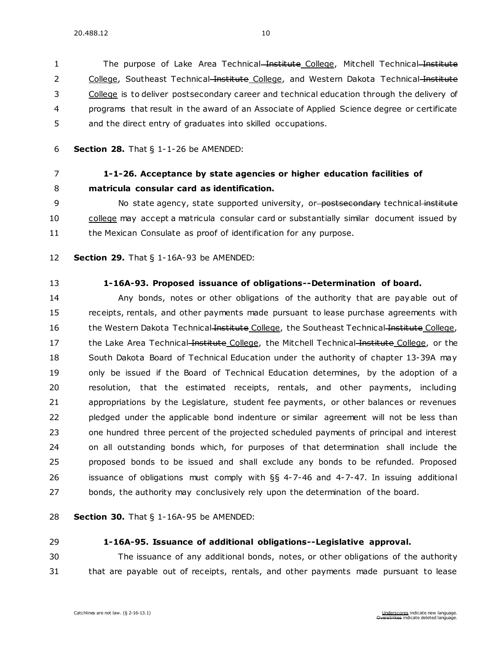1 The purpose of Lake Area Technical Institute College, Mitchell Technical Institute 2 College, Southeast Technical Institute College, and Western Dakota Technical Institute College is to deliver postsecondary career and technical education through the delivery of programs that result in the award of an Associate of Applied Science degree or certificate and the direct entry of graduates into skilled occupations.

**Section 28.** [That § 1-1-26 be AMENDED:](https://sdlegislature.gov/Statutes/Codified_Laws/DisplayStatute.aspx?Type=Statute&Statute=1-1-26)

### **[1-1-26. A](https://sdlegislature.gov/Statutes/Codified_Laws/DisplayStatute.aspx?Type=Statute&Statute=1-1-26)cceptance by state agencies or higher education facilities of matricula consular card as identification.**

9 No state agency, state supported university, or-postsecondary technical institute college may accept a matricula consular card or substantially similar document issued by 11 the Mexican Consulate as proof of identification for any purpose.

- **Section 29.** [That § 1-16A-93 be AMENDED:](https://sdlegislature.gov/Statutes/Codified_Laws/DisplayStatute.aspx?Type=Statute&Statute=1-16A-93)
- 

#### **[1-16A-93. P](https://sdlegislature.gov/Statutes/Codified_Laws/DisplayStatute.aspx?Type=Statute&Statute=1-16A-93)roposed issuance of obligations--Determination of board.**

 Any bonds, notes or other obligations of the authority that are payable out of receipts, rentals, and other payments made pursuant to lease purchase agreements with 16 the Western Dakota Technical Institute College, the Southeast Technical Institute College, 17 the Lake Area Technical Institute College, the Mitchell Technical Institute College, or the South Dakota Board of Technical Education under the authority of chapter [13-39A](https://sdlegislature.gov/Statutes/Codified_Laws/DisplayStatute.aspx?Type=Statute&Statute=13-39A) may only be issued if the Board of Technical Education determines, by the adoption of a resolution, that the estimated receipts, rentals, and other payments, including appropriations by the Legislature, student fee payments, or other balances or revenues pledged under the applicable bond indenture or similar agreement will not be less than one hundred three percent of the projected scheduled payments of principal and interest on all outstanding bonds which, for purposes of that determination shall include the proposed bonds to be issued and shall exclude any bonds to be refunded. Proposed issuance of obligations must comply with §§ [4-7-46](https://sdlegislature.gov/Statutes/Codified_Laws/DisplayStatute.aspx?Type=Statute&Statute=4-7-46) and [4-7-47.](https://sdlegislature.gov/Statutes/Codified_Laws/DisplayStatute.aspx?Type=Statute&Statute=4-7-47) In issuing additional bonds, the authority may conclusively rely upon the determination of the board.

**Section 30.** [That § 1-16A-95 be AMENDED:](https://sdlegislature.gov/Statutes/Codified_Laws/DisplayStatute.aspx?Type=Statute&Statute=1-16A-95)

### **[1-16A-95. I](https://sdlegislature.gov/Statutes/Codified_Laws/DisplayStatute.aspx?Type=Statute&Statute=1-16A-95)ssuance of additional obligations--Legislative approval.**

 The issuance of any additional bonds, notes, or other obligations of the authority that are payable out of receipts, rentals, and other payments made pursuant to lease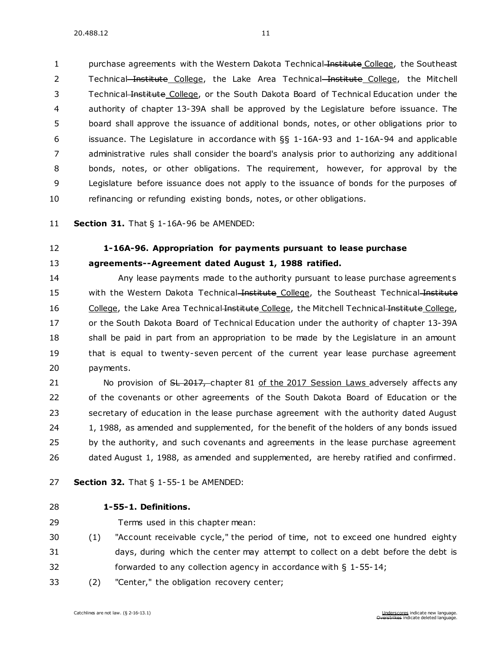1 purchase agreements with the Western Dakota Technical Institute College, the Southeast 2 Technical Institute College, the Lake Area Technical Institute College, the Mitchell Technical Institute College, or the South Dakota Board of Technical Education under the authority of chapter [13-39A](https://sdlegislature.gov/Statutes/Codified_Laws/DisplayStatute.aspx?Type=Statute&Statute=13-39A) shall be approved by the Legislature before issuance. The board shall approve the issuance of additional bonds, notes, or other obligations prior to issuance. The Legislature in accordance with §§ [1-16A-93](https://sdlegislature.gov/Statutes/Codified_Laws/DisplayStatute.aspx?Type=Statute&Statute=1-16A-93) and [1-16A-94](https://sdlegislature.gov/Statutes/Codified_Laws/DisplayStatute.aspx?Type=Statute&Statute=1-16A-94) and applicable administrative rules shall consider the board's analysis prior to authorizing any additional bonds, notes, or other obligations. The requirement, however, for approval by the Legislature before issuance does not apply to the issuance of bonds for the purposes of refinancing or refunding existing bonds, notes, or other obligations.

**Section 31.** [That § 1-16A-96 be AMENDED:](https://sdlegislature.gov/Statutes/Codified_Laws/DisplayStatute.aspx?Type=Statute&Statute=1-16A-96)

### **[1-16A-96. A](https://sdlegislature.gov/Statutes/Codified_Laws/DisplayStatute.aspx?Type=Statute&Statute=1-16A-96)ppropriation for payments pursuant to lease purchase agreements--Agreement dated August 1, 1988 ratified.**

 Any lease payments made to the authority pursuant to lease purchase agreement s 15 with the Western Dakota Technical Institute College, the Southeast Technical Institute 16 College, the Lake Area Technical Institute College, the Mitchell Technical Institute College, or the South Dakota Board of Technical Education under the authority of chapter [13-39A](https://sdlegislature.gov/Statutes/Codified_Laws/DisplayStatute.aspx?Type=Statute&Statute=13-39A) 18 shall be paid in part from an appropriation to be made by the Legislature in an amount that is equal to twenty-seven percent of the current year lease purchase agreement payments.

21 No provision of <del>SL 2017, chapter 81 of the 2017 Session Laws adversely affects any</del> of the covenants or other agreements of the South Dakota Board of Education or the secretary of education in the lease purchase agreement with the authority dated August 24 1, 1988, as amended and supplemented, for the benefit of the holders of any bonds issued 25 by the authority, and such covenants and agreements in the lease purchase agreement dated August 1, 1988, as amended and supplemented, are hereby ratified and confirmed.

- **Section 32.** [That § 1-55-1 be AMENDED:](https://sdlegislature.gov/Statutes/Codified_Laws/DisplayStatute.aspx?Type=Statute&Statute=1-55-1)
- **[1-55-1. D](https://sdlegislature.gov/Statutes/Codified_Laws/DisplayStatute.aspx?Type=Statute&Statute=1-55-1)efinitions.** 
	-
- Terms used in this chapter mean:
- (1) "Account receivable cycle," the period of time, not to exceed one hundred eighty days, during which the center may attempt to collect on a debt before the debt is forwarded to any collection agency in accordance with § [1-55-14;](https://sdlegislature.gov/Statutes/Codified_Laws/DisplayStatute.aspx?Type=Statute&Statute=1-55-14)
- (2) "Center," the obligation recovery center;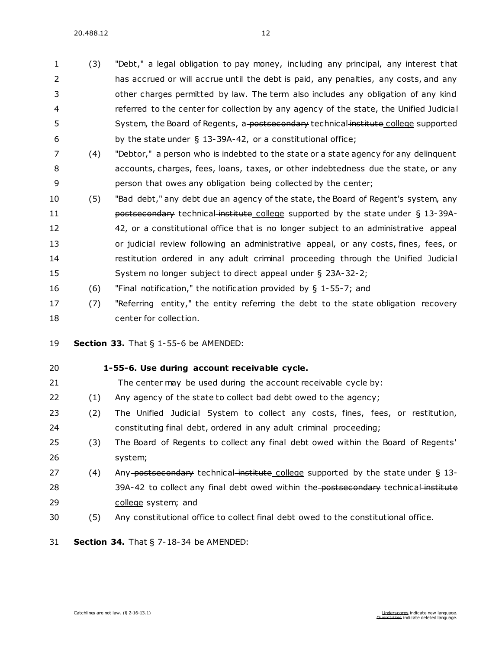20.488.12 12

 (3) "Debt," a legal obligation to pay money, including any principal, any interest t hat has accrued or will accrue until the debt is paid, any penalties, any costs, and any other charges permitted by law. The term also includes any obligation of any kind referred to the center for collection by any agency of the state, the Unified Judicial 5 System, the Board of Regents, a postsecondary technical institute college supported 6 by the state under  $\S$  [13-39A-42,](https://sdlegislature.gov/Statutes/Codified_Laws/DisplayStatute.aspx?Type=Statute&Statute=13-39A-42) or a constitutional office;

- (4) "Debtor," a person who is indebted to the state or a state agency for any delinquent accounts, charges, fees, loans, taxes, or other indebtedness due the state, or any person that owes any obligation being collected by the center;
- (5) "Bad debt," any debt due an agency of the state, the Board of Regent's system, any **postsecondary technical institute college supported by the state under § [13-39A-](https://sdlegislature.gov/Statutes/Codified_Laws/DisplayStatute.aspx?Type=Statute&Statute=13-39A-42)** [42,](https://sdlegislature.gov/Statutes/Codified_Laws/DisplayStatute.aspx?Type=Statute&Statute=13-39A-42) or a constitutional office that is no longer subject to an administrative appeal or judicial review following an administrative appeal, or any costs, fines, fees, or restitution ordered in any adult criminal proceeding through the Unified Judicial System no longer subject to direct appeal under § [23A-32-2;](https://sdlegislature.gov/Statutes/Codified_Laws/DisplayStatute.aspx?Type=Statute&Statute=23A-32-2)
- (6) "Final notification," the notification provided by § [1-55-7;](https://sdlegislature.gov/Statutes/Codified_Laws/DisplayStatute.aspx?Type=Statute&Statute=1-55-7) and
- (7) "Referring entity," the entity referring the debt to the state obligation recovery center for collection.

**Section 33.** [That § 1-55-6 be AMENDED:](https://sdlegislature.gov/Statutes/Codified_Laws/DisplayStatute.aspx?Type=Statute&Statute=1-55-6)

- **[1-55-6. U](https://sdlegislature.gov/Statutes/Codified_Laws/DisplayStatute.aspx?Type=Statute&Statute=1-55-6)se during account receivable cycle.**  The center may be used during the account receivable cycle by: (1) Any agency of the state to collect bad debt owed to the agency;
- (2) The Unified Judicial System to collect any costs, fines, fees, or restitution, constituting final debt, ordered in any adult criminal proceeding;
- (3) The Board of Regents to collect any final debt owed within the Board of Regents' system;
- 27 (4) Any-postsecondary technical institute college supported by the state under § [13-](https://sdlegislature.gov/Statutes/Codified_Laws/DisplayStatute.aspx?Type=Statute&Statute=13-39A-42) [39A-42](https://sdlegislature.gov/Statutes/Codified_Laws/DisplayStatute.aspx?Type=Statute&Statute=13-39A-42) to collect any final debt owed within the postsecondary technical institute college system; and
- (5) Any constitutional office to collect final debt owed to the constitutional office.
- **Section 34.** [That § 7-18-34 be AMENDED:](https://sdlegislature.gov/Statutes/Codified_Laws/DisplayStatute.aspx?Type=Statute&Statute=7-18-34)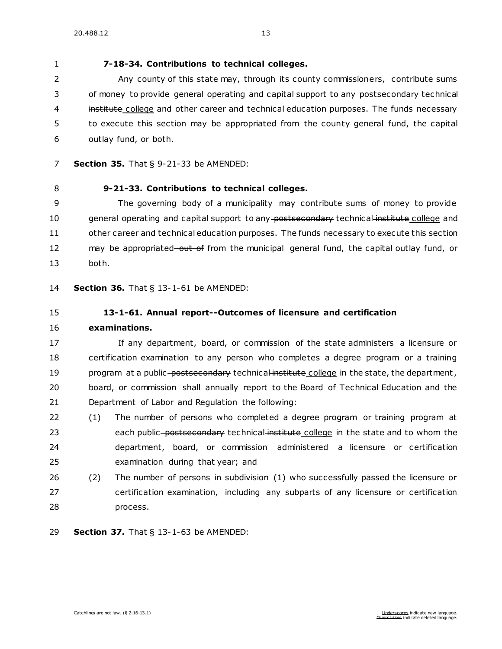**[7-18-34. C](https://sdlegislature.gov/Statutes/Codified_Laws/DisplayStatute.aspx?Type=Statute&Statute=7-18-34)ontributions to technical colleges.** 

 Any county of this state may, through its county commissioners, contribute sums 3 of money to provide general operating and capital support to any postsecondary technical 4 institute college and other career and technical education purposes. The funds necessary to execute this section may be appropriated from the county general fund, the capital outlay fund, or both.

- **Section 35.** [That § 9-21-33 be AMENDED:](https://sdlegislature.gov/Statutes/Codified_Laws/DisplayStatute.aspx?Type=Statute&Statute=9-21-33)
- **[9-21-33. C](https://sdlegislature.gov/Statutes/Codified_Laws/DisplayStatute.aspx?Type=Statute&Statute=9-21-33)ontributions to technical colleges.**

 The governing body of a municipality may contribute sums of money to provide 10 general operating and capital support to any postsecondary technical institute college and other career and technical education purposes. The funds necessary to execute this section 12 may be appropriated–out of from the municipal general fund, the capital outlay fund, or both.

**Section 36.** [That § 13-1-61 be AMENDED:](https://sdlegislature.gov/Statutes/Codified_Laws/DisplayStatute.aspx?Type=Statute&Statute=13-1-61)

- **[13-1-61. A](https://sdlegislature.gov/Statutes/Codified_Laws/DisplayStatute.aspx?Type=Statute&Statute=13-1-61)nnual report--Outcomes of licensure and certification**
- **examinations.**

 If any department, board, or commission of the state administers a licensure or certification examination to any person who completes a degree program or a training 19 program at a public-postsecondary technical institute college in the state, the department, board, or commission shall annually report to the Board of Technical Education and the Department of Labor and Regulation the following:

- (1) The number of persons who completed a degree program or training program at 23 each public postsecondary technical institute college in the state and to whom the department, board, or commission administered a licensure or certification examination during that year; and
- (2) The number of persons in subdivision (1) who successfully passed the licensure or certification examination, including any subparts of any licensure or certification process.

**Section 37.** [That § 13-1-63 be AMENDED:](https://sdlegislature.gov/Statutes/Codified_Laws/DisplayStatute.aspx?Type=Statute&Statute=13-1-63)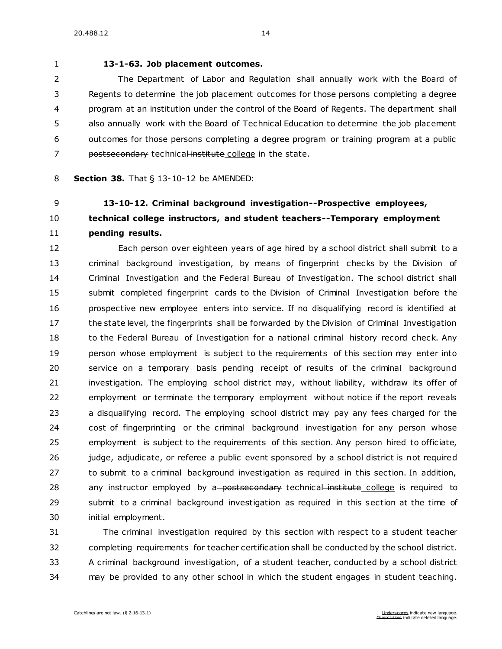### **[13-1-63. J](https://sdlegislature.gov/Statutes/Codified_Laws/DisplayStatute.aspx?Type=Statute&Statute=13-1-63)ob placement outcomes.**

 The Department of Labor and Regulation shall annually work with the Board of Regents to determine the job placement outcomes for those persons completing a degree program at an institution under the control of the Board of Regents. The department shall also annually work with the Board of Technical Education to determine the job placement outcomes for those persons completing a degree program or training program at a public 7 postsecondary technical institute college in the state.

#### **Section 38.** [That § 13-10-12 be AMENDED:](https://sdlegislature.gov/Statutes/Codified_Laws/DisplayStatute.aspx?Type=Statute&Statute=13-10-12)

## **[13-10-12. C](https://sdlegislature.gov/Statutes/Codified_Laws/DisplayStatute.aspx?Type=Statute&Statute=13-10-12)riminal background investigation--Prospective employees, technical college instructors, and student teachers--Temporary employment pending results.**

 Each person over eighteen years of age hired by a school district shall submit to a criminal background investigation, by means of fingerprint checks by the Division of Criminal Investigation and the Federal Bureau of Investigation. The school district shall submit completed fingerprint cards to the Division of Criminal Investigation before the prospective new employee enters into service. If no disqualifying record is identified at the state level, the fingerprints shall be forwarded by the Division of Criminal Investigation 18 to the Federal Bureau of Investigation for a national criminal history record check. Any person whose employment is subject to the requirements of this section may enter into service on a temporary basis pending receipt of results of the criminal background investigation. The employing school district may, without liability, withdraw its offer of employment or terminate the temporary employment without notice if the report reveals a disqualifying record. The employing school district may pay any fees charged for the cost of fingerprinting or the criminal background investigation for any person whose employment is subject to the requirements of this section. Any person hired to officiate, judge, adjudicate, or referee a public event sponsored by a school district is not required to submit to a criminal background investigation as required in this section. In addition, 28 any instructor employed by a-postsecondary technical institute college is required to submit to a criminal background investigation as required in this section at the time of initial employment.

 The criminal investigation required by this section with respect to a student teacher completing requirements for teacher certification shall be conducted by the school district. A criminal background investigation, of a student teacher, conducted by a school district may be provided to any other school in which the student engages in student teaching.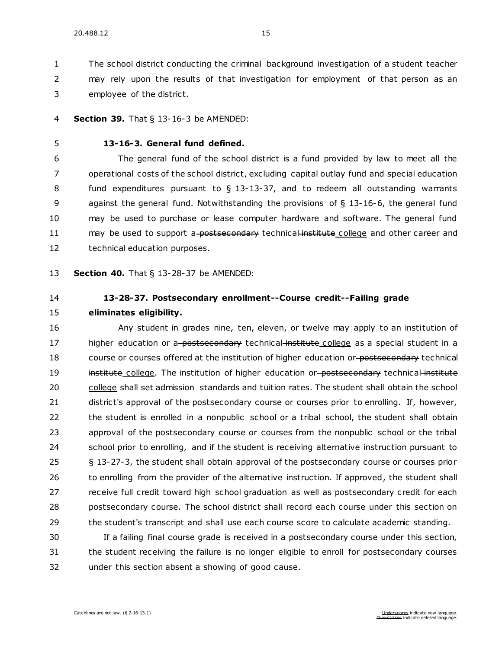The school district conducting the criminal background investigation of a student teacher

may rely upon the results of that investigation for employment of that person as an

employee of the district.

### **Section 39.** [That § 13-16-3 be AMENDED:](https://sdlegislature.gov/Statutes/Codified_Laws/DisplayStatute.aspx?Type=Statute&Statute=13-16-3)

### **[13-16-3. G](https://sdlegislature.gov/Statutes/Codified_Laws/DisplayStatute.aspx?Type=Statute&Statute=13-16-3)eneral fund defined.**

 The general fund of the school district is a fund provided by law to meet all the operational costs of the school district, excluding capital outlay fund and special education fund expenditures pursuant to § [13-13-37,](https://sdlegislature.gov/Statutes/Codified_Laws/DisplayStatute.aspx?Type=Statute&Statute=13-13-37) and to redeem all outstanding warrants against the general fund. Notwithstanding the provisions of § [13-16-6,](https://sdlegislature.gov/Statutes/Codified_Laws/DisplayStatute.aspx?Type=Statute&Statute=13-16-6) the general fund may be used to purchase or lease computer hardware and software. The general fund 11 may be used to support a-postsecondary technical institute college and other career and technical education purposes.

**Section 40.** [That § 13-28-37 be AMENDED:](https://sdlegislature.gov/Statutes/Codified_Laws/DisplayStatute.aspx?Type=Statute&Statute=13-28-37)

### **[13-28-37. P](https://sdlegislature.gov/Statutes/Codified_Laws/DisplayStatute.aspx?Type=Statute&Statute=13-28-37)ostsecondary enrollment--Course credit--Failing grade**

**eliminates eligibility.** 

 Any student in grades nine, ten, eleven, or twelve may apply to an institution of 17 higher education or a-postsecondary technical institute college as a special student in a 18 course or courses offered at the institution of higher education or postsecondary technical 19 institute college. The institution of higher education or postsecondary technical institute 20 college shall set admission standards and tuition rates. The student shall obtain the school district's approval of the postsecondary course or courses prior to enrolling. If, however, the student is enrolled in a nonpublic school or a tribal school, the student shall obtain approval of the postsecondary course or courses from the nonpublic school or the tribal school prior to enrolling, and if the student is receiving alternative instruction pursuant to § [13-27-3,](https://sdlegislature.gov/Statutes/Codified_Laws/DisplayStatute.aspx?Type=Statute&Statute=13-27-3) the student shall obtain approval of the postsecondary course or courses prior 26 to enrolling from the provider of the alternative instruction. If approved, the student shall receive full credit toward high school graduation as well as postsecondary credit for each postsecondary course. The school district shall record each course under this section on the student's transcript and shall use each course score to calculate academic standing.

 If a failing final course grade is received in a postsecondary course under this section, the student receiving the failure is no longer eligible to enroll for postsecondary courses under this section absent a showing of good cause.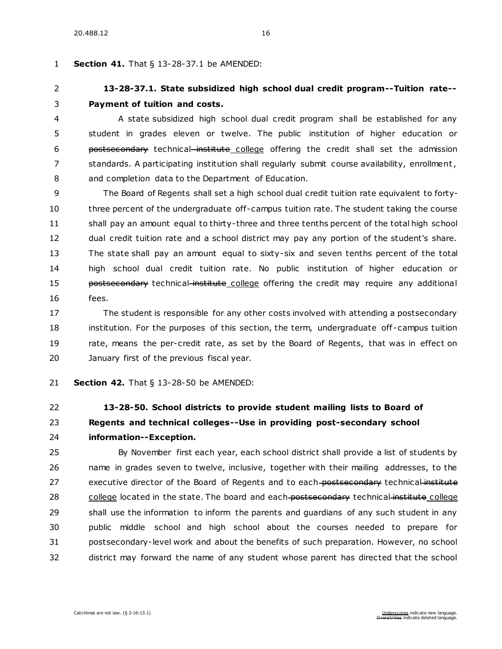#### **Section 41.** [That § 13-28-37.1 be AMENDED:](https://sdlegislature.gov/Statutes/Codified_Laws/DisplayStatute.aspx?Type=Statute&Statute=13-28-37.1)

### **[13-28-37.1. S](https://sdlegislature.gov/Statutes/Codified_Laws/DisplayStatute.aspx?Type=Statute&Statute=13-28-37.1)tate subsidized high school dual credit program--Tuition rate-- Payment of tuition and costs.**

 A state subsidized high school dual credit program shall be established for any student in grades eleven or twelve. The public institution of higher education or **postsecondary** technical institute college offering the credit shall set the admission standards. A participating institution shall regularly submit course availability, enrollment , and completion data to the Department of Education.

 The Board of Regents shall set a high school dual credit tuition rate equivalent to forty- three percent of the undergraduate off-campus tuition rate. The student taking the course shall pay an amount equal to thirty-three and three tenths percent of the total high school dual credit tuition rate and a school district may pay any portion of the student's share. The state shall pay an amount equal to sixty-six and seven tenths percent of the total high school dual credit tuition rate. No public institution of higher education or **postsecondary** technical institute college offering the credit may require any additional fees.

 The student is responsible for any other costs involved with attending a postsecondary institution. For the purposes of this section, the term, undergraduate off -campus tuition rate, means the per-credit rate, as set by the Board of Regents, that was in effect on January first of the previous fiscal year.

**Section 42.** [That § 13-28-50 be AMENDED:](https://sdlegislature.gov/Statutes/Codified_Laws/DisplayStatute.aspx?Type=Statute&Statute=13-28-50)

## **[13-28-50. S](https://sdlegislature.gov/Statutes/Codified_Laws/DisplayStatute.aspx?Type=Statute&Statute=13-28-50)chool districts to provide student mailing lists to Board of Regents and technical colleges--Use in providing post-secondary school information--Exception.**

 By November first each year, each school district shall provide a list of students by name in grades seven to twelve, inclusive, together with their mailing addresses, to the 27 executive director of the Board of Regents and to each-postsecondary technical institute 28 college located in the state. The board and each postsecondary technical institute college shall use the information to inform the parents and guardians of any such student in any public middle school and high school about the courses needed to prepare for postsecondary-level work and about the benefits of such preparation. However, no school district may forward the name of any student whose parent has directed that the school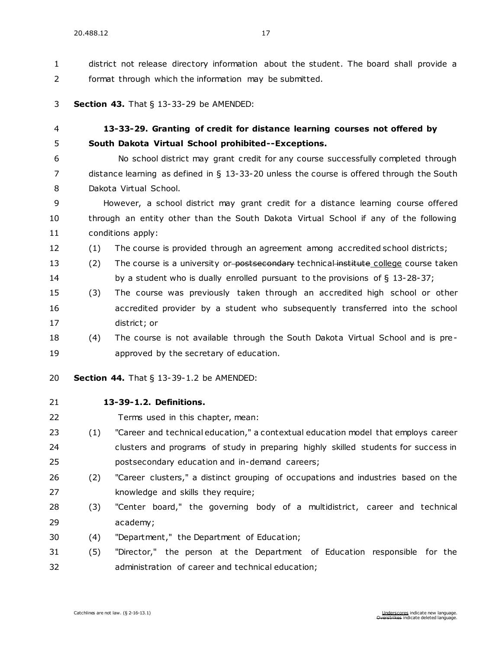district not release directory information about the student. The board shall provide a format through which the information may be submitted.

#### **Section 43.** [That § 13-33-29 be AMENDED:](https://sdlegislature.gov/Statutes/Codified_Laws/DisplayStatute.aspx?Type=Statute&Statute=13-33-29)

### **[13-33-29. G](https://sdlegislature.gov/Statutes/Codified_Laws/DisplayStatute.aspx?Type=Statute&Statute=13-33-29)ranting of credit for distance learning courses not offered by South Dakota Virtual School prohibited--Exceptions.**

 No school district may grant credit for any course successfully completed through distance learning as defined in § [13-33-20](https://sdlegislature.gov/Statutes/Codified_Laws/DisplayStatute.aspx?Type=Statute&Statute=13-33-20) unless the course is offered through the South Dakota Virtual School.

 However, a school district may grant credit for a distance learning course offered through an entity other than the South Dakota Virtual School if any of the following conditions apply:

(1) The course is provided through an agreement among accredited school districts;

13 (2) The course is a university or-postsecondary technical institute college course taken by a student who is dually enrolled pursuant to the provisions of § [13-28-37;](https://sdlegislature.gov/Statutes/Codified_Laws/DisplayStatute.aspx?Type=Statute&Statute=13-28-37)

- (3) The course was previously taken through an accredited high school or other accredited provider by a student who subsequently transferred into the school district; or
- (4) The course is not available through the South Dakota Virtual School and is pre-approved by the secretary of education.

**Section 44.** [That § 13-39-1.2 be AMENDED:](https://sdlegislature.gov/Statutes/Codified_Laws/DisplayStatute.aspx?Type=Statute&Statute=13-39-1.2)

- **[13-39-1.2. D](https://sdlegislature.gov/Statutes/Codified_Laws/DisplayStatute.aspx?Type=Statute&Statute=13-39-1.2)efinitions.**
- Terms used in this chapter, mean:
- (1) "Career and technical education," a contextual education model that employs career clusters and programs of study in preparing highly skilled students for success in postsecondary education and in-demand careers;
- (2) "Career clusters," a distinct grouping of occupations and industries based on the 27 knowledge and skills they require;
- (3) "Center board," the governing body of a multidistrict, career and technical academy;
- (4) "Department," the Department of Education;

 (5) "Director," the person at the Department of Education responsible for the administration of career and technical education;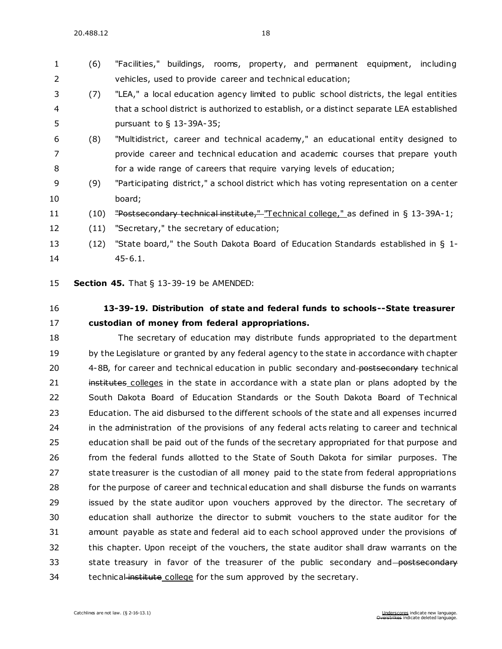### (6) "Facilities," buildings, rooms, property, and permanent equipment, including vehicles, used to provide career and technical education;

- (7) "LEA," a local education agency limited to public school districts, the legal entities that a school district is authorized to establish, or a distinct separate LEA established pursuant to § [13-39A-35;](https://sdlegislature.gov/Statutes/Codified_Laws/DisplayStatute.aspx?Type=Statute&Statute=13-39A-35)
- (8) "Multidistrict, career and technical academy," an educational entity designed to provide career and technical education and academic courses that prepare youth for a wide range of careers that require varying levels of education;
- (9) "Participating district," a school district which has voting representation on a center board;
- 11 (10) "Postsecondary technical institute," "Technical college," as defined in § [13-39A-1;](https://sdlegislature.gov/Statutes/Codified_Laws/DisplayStatute.aspx?Type=Statute&Statute=13-39A-1)
- (11) "Secretary," the secretary of education;
- (12) "State board," the South Dakota Board of Education Standards established in § [1-](https://sdlegislature.gov/Statutes/Codified_Laws/DisplayStatute.aspx?Type=Statute&Statute=1-45-6.1) [45-6.1.](https://sdlegislature.gov/Statutes/Codified_Laws/DisplayStatute.aspx?Type=Statute&Statute=1-45-6.1)

**Section 45.** [That § 13-39-19 be AMENDED:](https://sdlegislature.gov/Statutes/Codified_Laws/DisplayStatute.aspx?Type=Statute&Statute=13-39-19)

### **[13-39-19. D](https://sdlegislature.gov/Statutes/Codified_Laws/DisplayStatute.aspx?Type=Statute&Statute=13-39-19)istribution of state and federal funds to schools--State treasurer custodian of money from federal appropriations.**

 The secretary of education may distribute funds appropriated to the department 19 by the Legislature or granted by any federal agency to the state in accordance with chapter [4-8B,](https://sdlegislature.gov/Statutes/Codified_Laws/DisplayStatute.aspx?Type=Statute&Statute=4-8B) for career and technical education in public secondary and postsecondary technical 21 institutes colleges in the state in accordance with a state plan or plans adopted by the South Dakota Board of Education Standards or the South Dakota Board of Technical Education. The aid disbursed to the different schools of the state and all expenses incurred in the administration of the provisions of any federal acts relating to career and technical education shall be paid out of the funds of the secretary appropriated for that purpose and from the federal funds allotted to the State of South Dakota for similar purposes. The state treasurer is the custodian of all money paid to the state from federal appropriations for the purpose of career and technical education and shall disburse the funds on warrants issued by the state auditor upon vouchers approved by the director. The secretary of education shall authorize the director to submit vouchers to the state auditor for the amount payable as state and federal aid to each school approved under the provisions of this chapter. Upon receipt of the vouchers, the state auditor shall draw warrants on the 33 state treasury in favor of the treasurer of the public secondary and postsecondary 34 technical institute college for the sum approved by the secretary.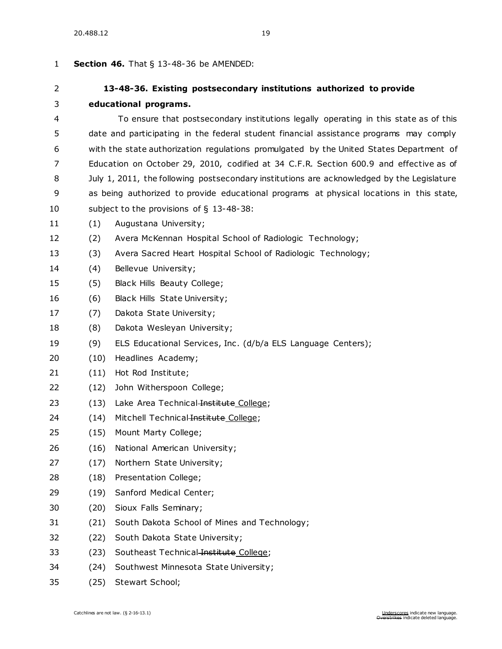| 1  | <b>Section 46.</b> That $\S$ 13-48-36 be AMENDED:                                          |                                                                     |  |
|----|--------------------------------------------------------------------------------------------|---------------------------------------------------------------------|--|
| 2  |                                                                                            | 13-48-36. Existing postsecondary institutions authorized to provide |  |
| 3  | educational programs.                                                                      |                                                                     |  |
| 4  | To ensure that postsecondary institutions legally operating in this state as of this       |                                                                     |  |
| 5  | date and participating in the federal student financial assistance programs may comply     |                                                                     |  |
| 6  | with the state authorization regulations promulgated by the United States Department of    |                                                                     |  |
| 7  | Education on October 29, 2010, codified at 34 C.F.R. Section 600.9 and effective as of     |                                                                     |  |
| 8  | July 1, 2011, the following postsecondary institutions are acknowledged by the Legislature |                                                                     |  |
| 9  | as being authorized to provide educational programs at physical locations in this state,   |                                                                     |  |
| 10 | subject to the provisions of $\S$ 13-48-38:                                                |                                                                     |  |
| 11 | (1)                                                                                        | Augustana University;                                               |  |
| 12 | (2)                                                                                        | Avera McKennan Hospital School of Radiologic Technology;            |  |
| 13 | (3)                                                                                        | Avera Sacred Heart Hospital School of Radiologic Technology;        |  |
| 14 | (4)                                                                                        | Bellevue University;                                                |  |
| 15 | (5)                                                                                        | Black Hills Beauty College;                                         |  |
| 16 | (6)                                                                                        | Black Hills State University;                                       |  |
| 17 | (7)                                                                                        | Dakota State University;                                            |  |
| 18 | (8)                                                                                        | Dakota Wesleyan University;                                         |  |
| 19 | (9)                                                                                        | ELS Educational Services, Inc. (d/b/a ELS Language Centers);        |  |
| 20 | (10)                                                                                       | Headlines Academy;                                                  |  |
| 21 | (11)                                                                                       | Hot Rod Institute;                                                  |  |
| 22 | (12)                                                                                       | John Witherspoon College;                                           |  |
| 23 | (13)                                                                                       | Lake Area Technical Institute College;                              |  |
| 24 | (14)                                                                                       | Mitchell Technical Institute College;                               |  |
| 25 | (15)                                                                                       | Mount Marty College;                                                |  |
| 26 | (16)                                                                                       | National American University;                                       |  |
| 27 | (17)                                                                                       | Northern State University;                                          |  |
| 28 | (18)                                                                                       | Presentation College;                                               |  |
| 29 | (19)                                                                                       | Sanford Medical Center;                                             |  |
| 30 | (20)                                                                                       | Sioux Falls Seminary;                                               |  |
| 31 | (21)                                                                                       | South Dakota School of Mines and Technology;                        |  |
| 32 | (22)                                                                                       | South Dakota State University;                                      |  |
| 33 | (23)                                                                                       | Southeast Technical Institute College;                              |  |
| 34 | (24)                                                                                       | Southwest Minnesota State University;                               |  |

(25) Stewart School;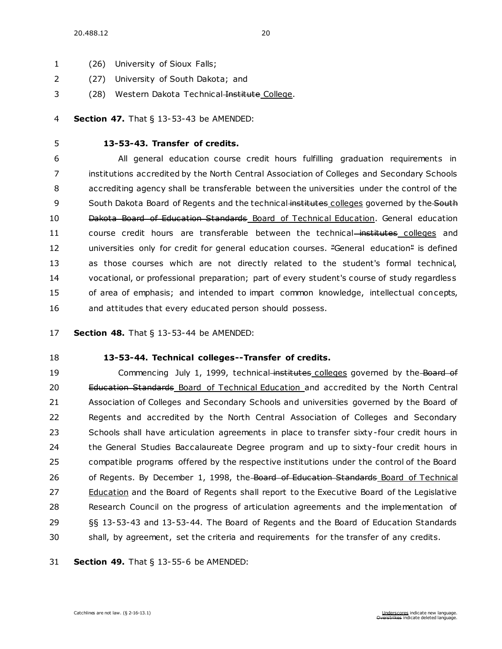- (26) University of Sioux Falls;
- (27) University of South Dakota; and
- 3 (28) Western Dakota Technical Institute College.

#### **Section 47.** [That § 13-53-43 be AMENDED:](https://sdlegislature.gov/Statutes/Codified_Laws/DisplayStatute.aspx?Type=Statute&Statute=13-53-43)

### **[13-53-43. T](https://sdlegislature.gov/Statutes/Codified_Laws/DisplayStatute.aspx?Type=Statute&Statute=13-53-43)ransfer of credits.**

 All general education course credit hours fulfilling graduation requirements in institutions accredited by the North Central Association of Colleges and Secondary Schools accrediting agency shall be transferable between the universities under the control of the 9 South Dakota Board of Regents and the technical institutes colleges governed by the South Dakota Board of Education Standards Board of Technical Education. General education 11 course credit hours are transferable between the technical-institutes colleges and 12 universities only for credit for general education courses. "General education" is defined as those courses which are not directly related to the student's formal technical, vocational, or professional preparation; part of every student's course of study regardless of area of emphasis; and intended to impart common knowledge, intellectual concepts, and attitudes that every educated person should possess.

### **Section 48.** [That § 13-53-44 be AMENDED:](https://sdlegislature.gov/Statutes/Codified_Laws/DisplayStatute.aspx?Type=Statute&Statute=13-53-44)

### **[13-53-44. T](https://sdlegislature.gov/Statutes/Codified_Laws/DisplayStatute.aspx?Type=Statute&Statute=13-53-44)echnical colleges--Transfer of credits.**

19 Commencing July 1, 1999, technical institutes colleges governed by the Board of 20 Education Standards Board of Technical Education and accredited by the North Central Association of Colleges and Secondary Schools and universities governed by the Board of Regents and accredited by the North Central Association of Colleges and Secondary 23 Schools shall have articulation agreements in place to transfer sixty-four credit hours in the General Studies Baccalaureate Degree program and up to sixty-four credit hours in compatible programs offered by the respective institutions under the control of the Board 26 of Regents. By December 1, 1998, the Board of Education Standards Board of Technical Education and the Board of Regents shall report to the Executive Board of the Legislative Research Council on the progress of articulation agreements and the implementation of §§ [13-53-43](https://sdlegislature.gov/Statutes/Codified_Laws/DisplayStatute.aspx?Type=Statute&Statute=13-53-43) and [13-53-44.](https://sdlegislature.gov/Statutes/Codified_Laws/DisplayStatute.aspx?Type=Statute&Statute=13-53-44) The Board of Regents and the Board of Education Standards shall, by agreement, set the criteria and requirements for the transfer of any credits.

**Section 49.** [That § 13-55-6 be AMENDED:](https://sdlegislature.gov/Statutes/Codified_Laws/DisplayStatute.aspx?Type=Statute&Statute=13-55-6)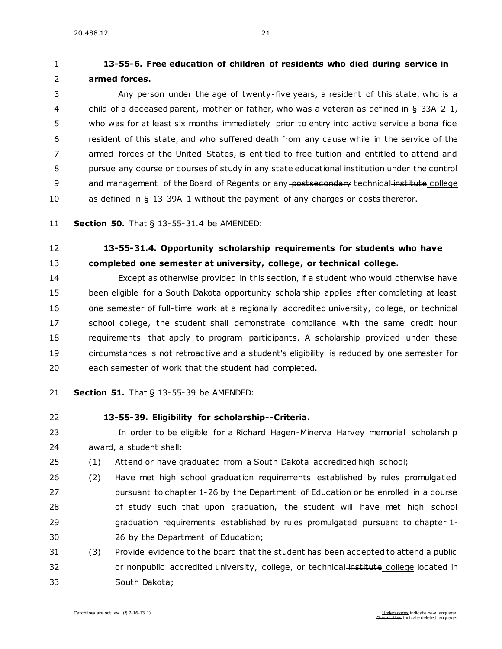### **[13-55-6. F](https://sdlegislature.gov/Statutes/Codified_Laws/DisplayStatute.aspx?Type=Statute&Statute=13-55-6)ree education of children of residents who died during service in armed forces.**

 Any person under the age of twenty-five years, a resident of this state, who is a child of a deceased parent, mother or father, who was a veteran as defined in § [33A-2-1,](https://sdlegislature.gov/Statutes/Codified_Laws/DisplayStatute.aspx?Type=Statute&Statute=33A-2-1) who was for at least six months immediately prior to entry into active service a bona fide resident of this state, and who suffered death from any cause while in the service of the armed forces of the United States, is entitled to free tuition and entitled to attend and pursue any course or courses of study in any state educational institution under the control 9 and management of the Board of Regents or any postsecondary technical institute college as defined in § [13-39A-1](https://sdlegislature.gov/Statutes/Codified_Laws/DisplayStatute.aspx?Type=Statute&Statute=13-39A-1) without the payment of any charges or costs therefor.

**Section 50.** [That § 13-55-31.4 be AMENDED:](https://sdlegislature.gov/Statutes/Codified_Laws/DisplayStatute.aspx?Type=Statute&Statute=13-55-31.4)

### **[13-55-31.4. O](https://sdlegislature.gov/Statutes/Codified_Laws/DisplayStatute.aspx?Type=Statute&Statute=13-55-31.4)pportunity scholarship requirements for students who have completed one semester at university, college, or technical college.**

 Except as otherwise provided in this section, if a student who would otherwise have been eligible for a South Dakota opportunity scholarship applies after completing at least one semester of full-time work at a regionally accredited university, college, or technical 17 school college, the student shall demonstrate compliance with the same credit hour requirements that apply to program participants. A scholarship provided under these circumstances is not retroactive and a student's eligibility is reduced by one semester for each semester of work that the student had completed.

- **Section 51.** [That § 13-55-39 be AMENDED:](https://sdlegislature.gov/Statutes/Codified_Laws/DisplayStatute.aspx?Type=Statute&Statute=13-55-39)
- 

### **[13-55-39. E](https://sdlegislature.gov/Statutes/Codified_Laws/DisplayStatute.aspx?Type=Statute&Statute=13-55-39)ligibility for scholarship--Criteria.**

 In order to be eligible for a Richard Hagen-Minerva Harvey memorial scholarship award, a student shall:

- (1) Attend or have graduated from a South Dakota accredited high school;
- (2) Have met high school graduation requirements established by rules promulgat ed pursuant to chapter [1-26](https://sdlegislature.gov/Statutes/Codified_Laws/DisplayStatute.aspx?Type=Statute&Statute=1-26) by the Department of Education or be enrolled in a course of study such that upon graduation, the student will have met high school graduation requirements established by rules promulgated pursuant to chapter [1-](https://sdlegislature.gov/Statutes/Codified_Laws/DisplayStatute.aspx?Type=Statute&Statute=1-26) [26](https://sdlegislature.gov/Statutes/Codified_Laws/DisplayStatute.aspx?Type=Statute&Statute=1-26) by the Department of Education;
- (3) Provide evidence to the board that the student has been accepted to attend a public 32 or nonpublic accredited university, college, or technical-institute college located in South Dakota;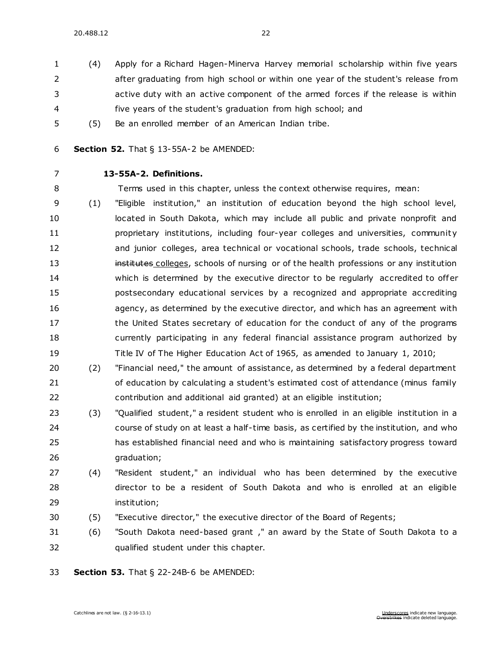- (4) Apply for a Richard Hagen-Minerva Harvey memorial scholarship within five years after graduating from high school or within one year of the student's release from active duty with an active component of the armed forces if the release is within five years of the student's graduation from high school; and
- (5) Be an enrolled member of an American Indian tribe.
- **Section 52.** [That § 13-55A-2 be AMENDED:](https://sdlegislature.gov/Statutes/Codified_Laws/DisplayStatute.aspx?Type=Statute&Statute=13-55A-2)
- 

### **[13-55A-2. D](https://sdlegislature.gov/Statutes/Codified_Laws/DisplayStatute.aspx?Type=Statute&Statute=13-55A-2)efinitions.**

Terms used in this chapter, unless the context otherwise requires, mean:

- (1) "Eligible institution," an institution of education beyond the high school level, 10 located in South Dakota, which may include all public and private nonprofit and **proprietary institutions, including four-year colleges and universities, community**  and junior colleges, area technical or vocational schools, trade schools, technical **institutes colleges, schools of nursing or of the health professions or any institution**  which is determined by the executive director to be regularly accredited to offer postsecondary educational services by a recognized and appropriate accrediting agency, as determined by the executive director, and which has an agreement with 17 the United States secretary of education for the conduct of any of the programs currently participating in any federal financial assistance program authorized by Title IV of The Higher Education Act of 1965, as amended to January 1, 2010;
- (2) "Financial need," the amount of assistance, as determined by a federal department of education by calculating a student's estimated cost of attendance (minus family contribution and additional aid granted) at an eligible institution;
- (3) "Qualified student," a resident student who is enrolled in an eligible institution in a course of study on at least a half-time basis, as certified by the institution, and who has established financial need and who is maintaining satisfactory progress toward graduation;
- (4) "Resident student," an individual who has been determined by the executive director to be a resident of South Dakota and who is enrolled at an eligible institution;
- (5) "Executive director," the executive director of the Board of Regents;
- (6) "South Dakota need-based grant ," an award by the State of South Dakota to a qualified student under this chapter.
- **Section 53.** [That § 22-24B-6 be AMENDED:](https://sdlegislature.gov/Statutes/Codified_Laws/DisplayStatute.aspx?Type=Statute&Statute=22-24B-6)